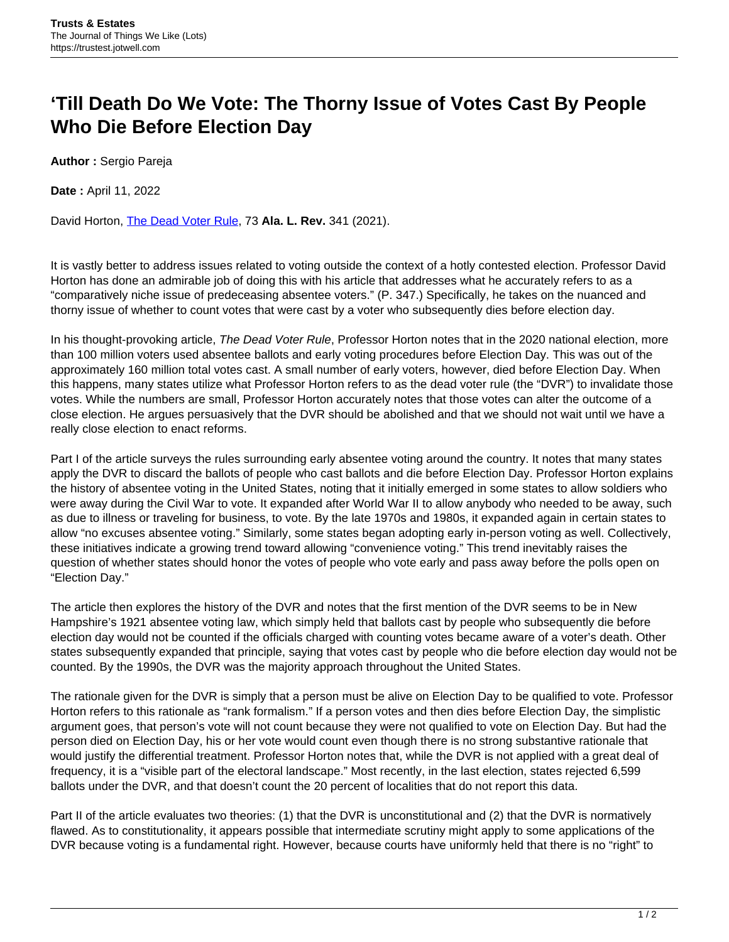## **'Till Death Do We Vote: The Thorny Issue of Votes Cast By People Who Die Before Election Day**

**Author :** Sergio Pareja

**Date :** April 11, 2022

David Horton, [The Dead Voter Rule](https://www.law.ua.edu/lawreview/files/2021/12/3-Horton-341.pdf), 73 **Ala. L. Rev.** 341 (2021).

It is vastly better to address issues related to voting outside the context of a hotly contested election. Professor David Horton has done an admirable job of doing this with his article that addresses what he accurately refers to as a "comparatively niche issue of predeceasing absentee voters." (P. 347.) Specifically, he takes on the nuanced and thorny issue of whether to count votes that were cast by a voter who subsequently dies before election day.

In his thought-provoking article, The Dead Voter Rule, Professor Horton notes that in the 2020 national election, more than 100 million voters used absentee ballots and early voting procedures before Election Day. This was out of the approximately 160 million total votes cast. A small number of early voters, however, died before Election Day. When this happens, many states utilize what Professor Horton refers to as the dead voter rule (the "DVR") to invalidate those votes. While the numbers are small, Professor Horton accurately notes that those votes can alter the outcome of a close election. He argues persuasively that the DVR should be abolished and that we should not wait until we have a really close election to enact reforms.

Part I of the article surveys the rules surrounding early absentee voting around the country. It notes that many states apply the DVR to discard the ballots of people who cast ballots and die before Election Day. Professor Horton explains the history of absentee voting in the United States, noting that it initially emerged in some states to allow soldiers who were away during the Civil War to vote. It expanded after World War II to allow anybody who needed to be away, such as due to illness or traveling for business, to vote. By the late 1970s and 1980s, it expanded again in certain states to allow "no excuses absentee voting." Similarly, some states began adopting early in-person voting as well. Collectively, these initiatives indicate a growing trend toward allowing "convenience voting." This trend inevitably raises the question of whether states should honor the votes of people who vote early and pass away before the polls open on "Election Day."

The article then explores the history of the DVR and notes that the first mention of the DVR seems to be in New Hampshire's 1921 absentee voting law, which simply held that ballots cast by people who subsequently die before election day would not be counted if the officials charged with counting votes became aware of a voter's death. Other states subsequently expanded that principle, saying that votes cast by people who die before election day would not be counted. By the 1990s, the DVR was the majority approach throughout the United States.

The rationale given for the DVR is simply that a person must be alive on Election Day to be qualified to vote. Professor Horton refers to this rationale as "rank formalism." If a person votes and then dies before Election Day, the simplistic argument goes, that person's vote will not count because they were not qualified to vote on Election Day. But had the person died on Election Day, his or her vote would count even though there is no strong substantive rationale that would justify the differential treatment. Professor Horton notes that, while the DVR is not applied with a great deal of frequency, it is a "visible part of the electoral landscape." Most recently, in the last election, states rejected 6,599 ballots under the DVR, and that doesn't count the 20 percent of localities that do not report this data.

Part II of the article evaluates two theories: (1) that the DVR is unconstitutional and (2) that the DVR is normatively flawed. As to constitutionality, it appears possible that intermediate scrutiny might apply to some applications of the DVR because voting is a fundamental right. However, because courts have uniformly held that there is no "right" to